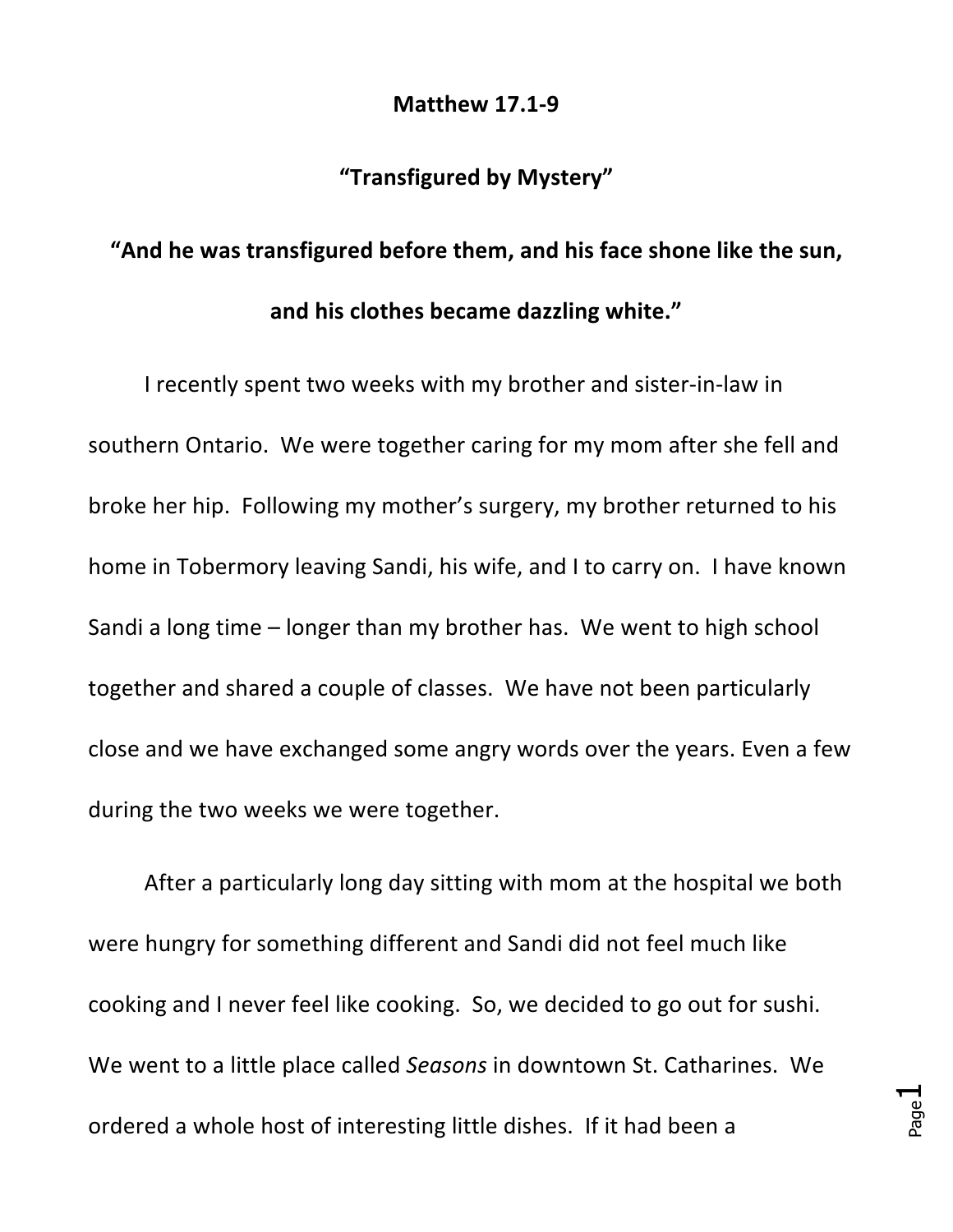## **Matthew 17.1-9**

## **"Transfigured by Mystery"**

## "And he was transfigured before them, and his face shone like the sun, and his clothes became dazzling white."

I recently spent two weeks with my brother and sister-in-law in southern Ontario. We were together caring for my mom after she fell and broke her hip. Following my mother's surgery, my brother returned to his home in Tobermory leaving Sandi, his wife, and I to carry on. I have known Sandi a long time – longer than my brother has. We went to high school together and shared a couple of classes. We have not been particularly close and we have exchanged some angry words over the years. Even a few during the two weeks we were together.

After a particularly long day sitting with mom at the hospital we both were hungry for something different and Sandi did not feel much like cooking and I never feel like cooking. So, we decided to go out for sushi. We went to a little place called *Seasons* in downtown St. Catharines. We ordered a whole host of interesting little dishes. If it had been a

Page  $\overline{\phantom{a}}$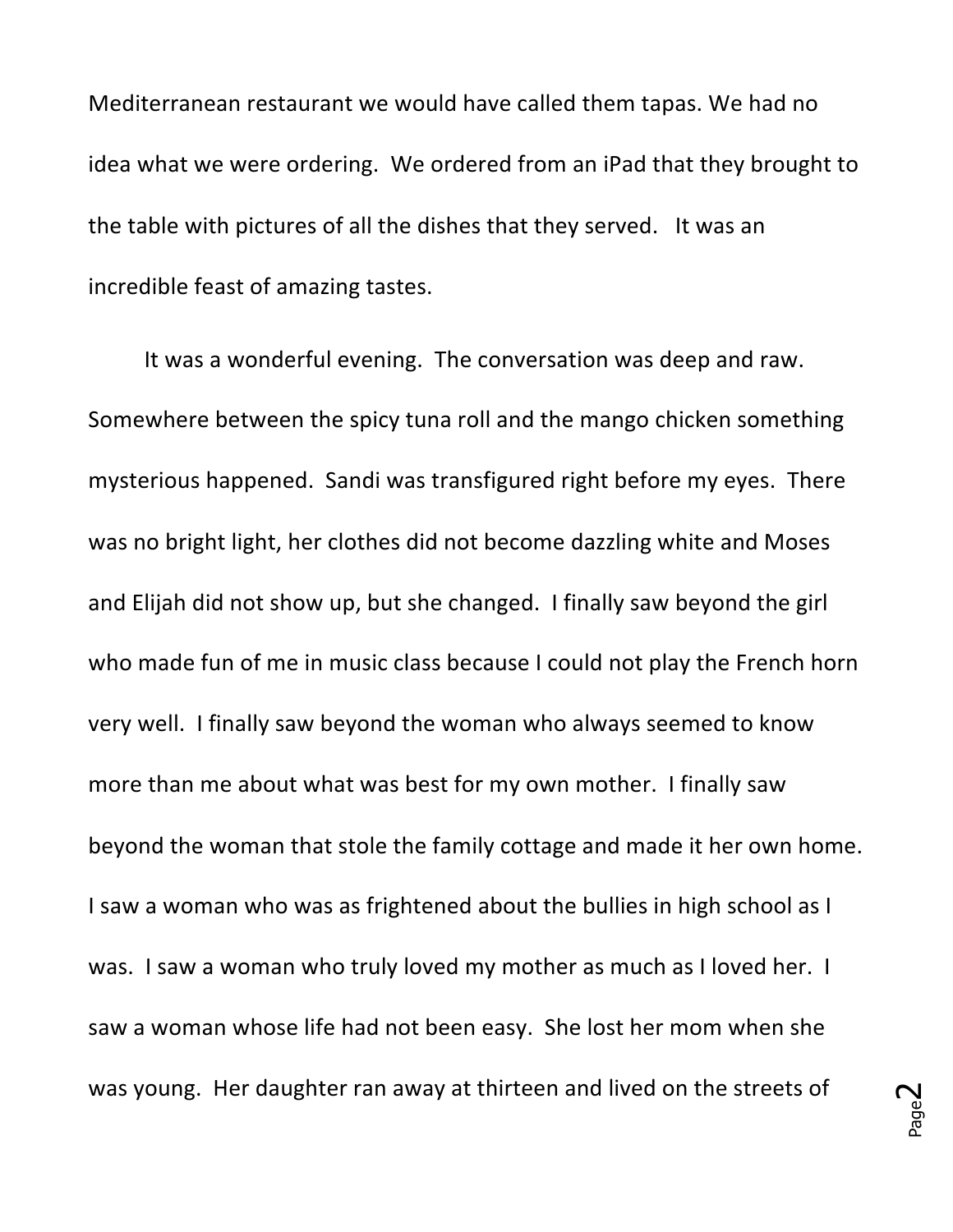Mediterranean restaurant we would have called them tapas. We had no idea what we were ordering. We ordered from an iPad that they brought to the table with pictures of all the dishes that they served. It was an incredible feast of amazing tastes.

It was a wonderful evening. The conversation was deep and raw. Somewhere between the spicy tuna roll and the mango chicken something mysterious happened. Sandi was transfigured right before my eyes. There was no bright light, her clothes did not become dazzling white and Moses and Elijah did not show up, but she changed. I finally saw beyond the girl who made fun of me in music class because I could not play the French horn very well. I finally saw beyond the woman who always seemed to know more than me about what was best for my own mother. I finally saw beyond the woman that stole the family cottage and made it her own home. I saw a woman who was as frightened about the bullies in high school as I was. I saw a woman who truly loved my mother as much as I loved her. I saw a woman whose life had not been easy. She lost her mom when she was young. Her daughter ran away at thirteen and lived on the streets of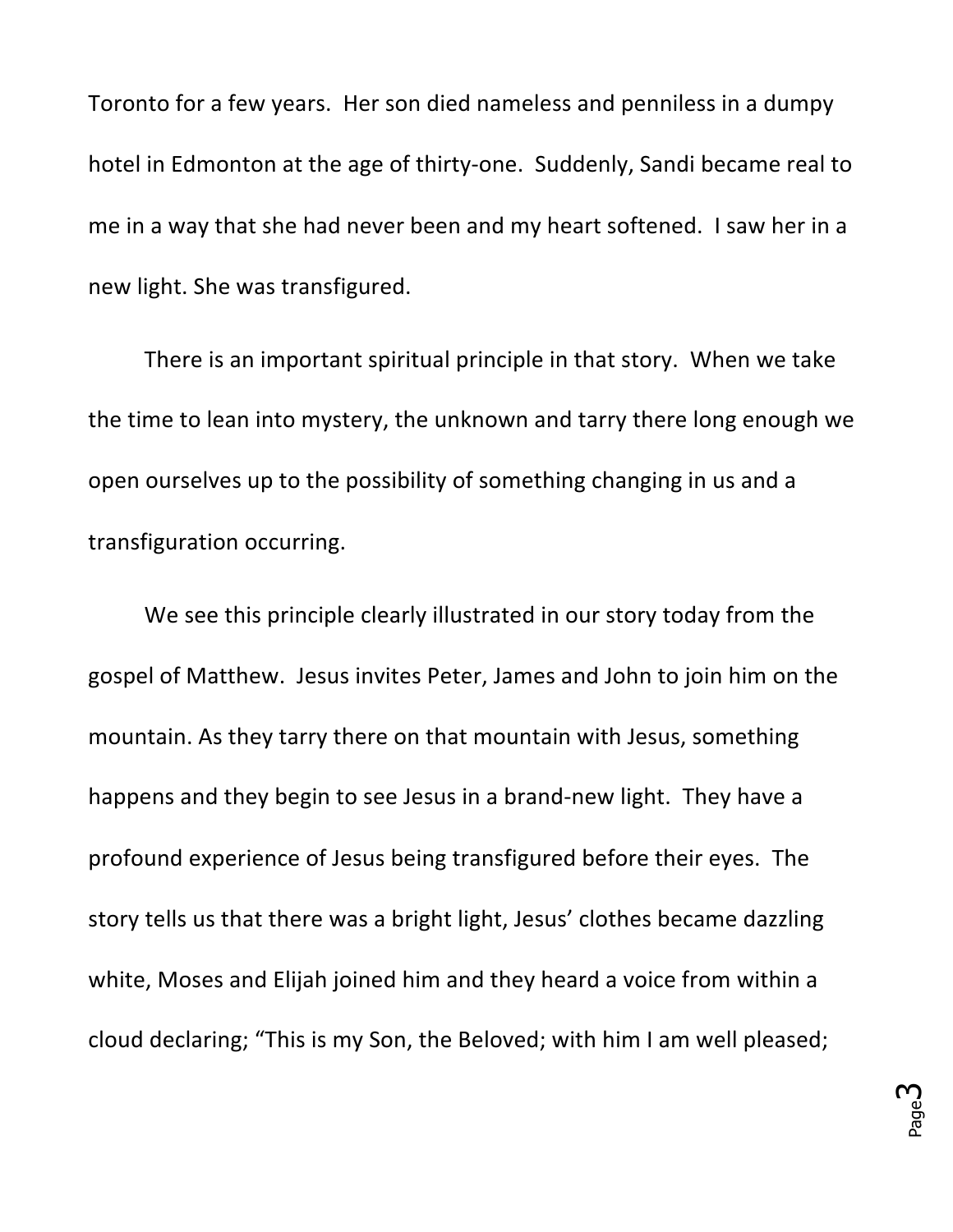Toronto for a few years. Her son died nameless and penniless in a dumpy hotel in Edmonton at the age of thirty-one. Suddenly, Sandi became real to me in a way that she had never been and my heart softened. I saw her in a new light. She was transfigured.

There is an important spiritual principle in that story. When we take the time to lean into mystery, the unknown and tarry there long enough we open ourselves up to the possibility of something changing in us and a transfiguration occurring.

We see this principle clearly illustrated in our story today from the gospel of Matthew. Jesus invites Peter, James and John to join him on the mountain. As they tarry there on that mountain with Jesus, something happens and they begin to see Jesus in a brand-new light. They have a profound experience of Jesus being transfigured before their eyes. The story tells us that there was a bright light, Jesus' clothes became dazzling white, Moses and Elijah joined him and they heard a voice from within a cloud declaring; "This is my Son, the Beloved; with him I am well pleased;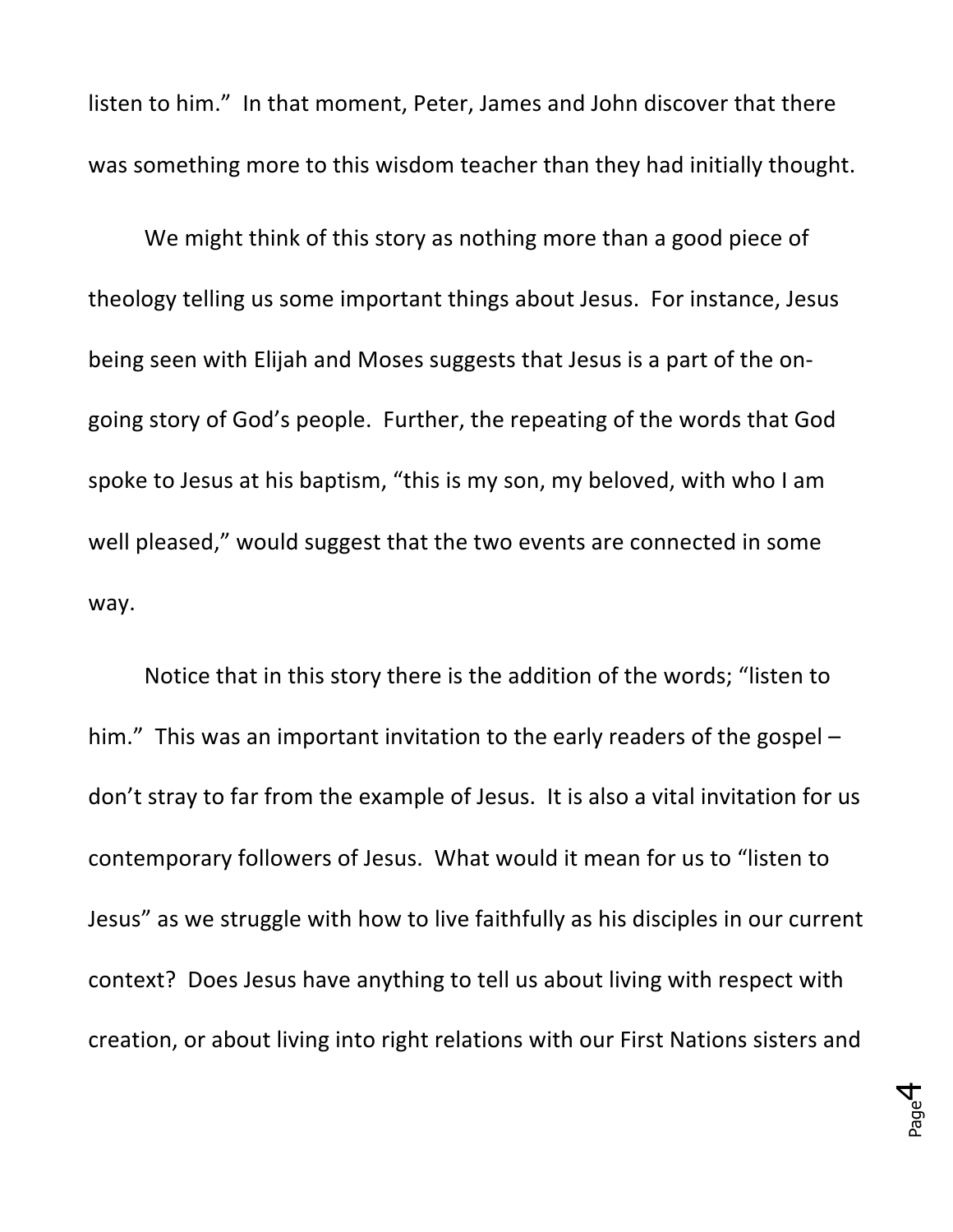listen to him." In that moment, Peter, James and John discover that there was something more to this wisdom teacher than they had initially thought.

We might think of this story as nothing more than a good piece of theology telling us some important things about Jesus. For instance, Jesus being seen with Elijah and Moses suggests that Jesus is a part of the ongoing story of God's people. Further, the repeating of the words that God spoke to Jesus at his baptism, "this is my son, my beloved, with who I am well pleased," would suggest that the two events are connected in some way. 

Notice that in this story there is the addition of the words; "listen to him." This was an important invitation to the early readers of the gospel  $$ don't stray to far from the example of Jesus. It is also a vital invitation for us contemporary followers of Jesus. What would it mean for us to "listen to Jesus" as we struggle with how to live faithfully as his disciples in our current context? Does Jesus have anything to tell us about living with respect with creation, or about living into right relations with our First Nations sisters and

> Page 4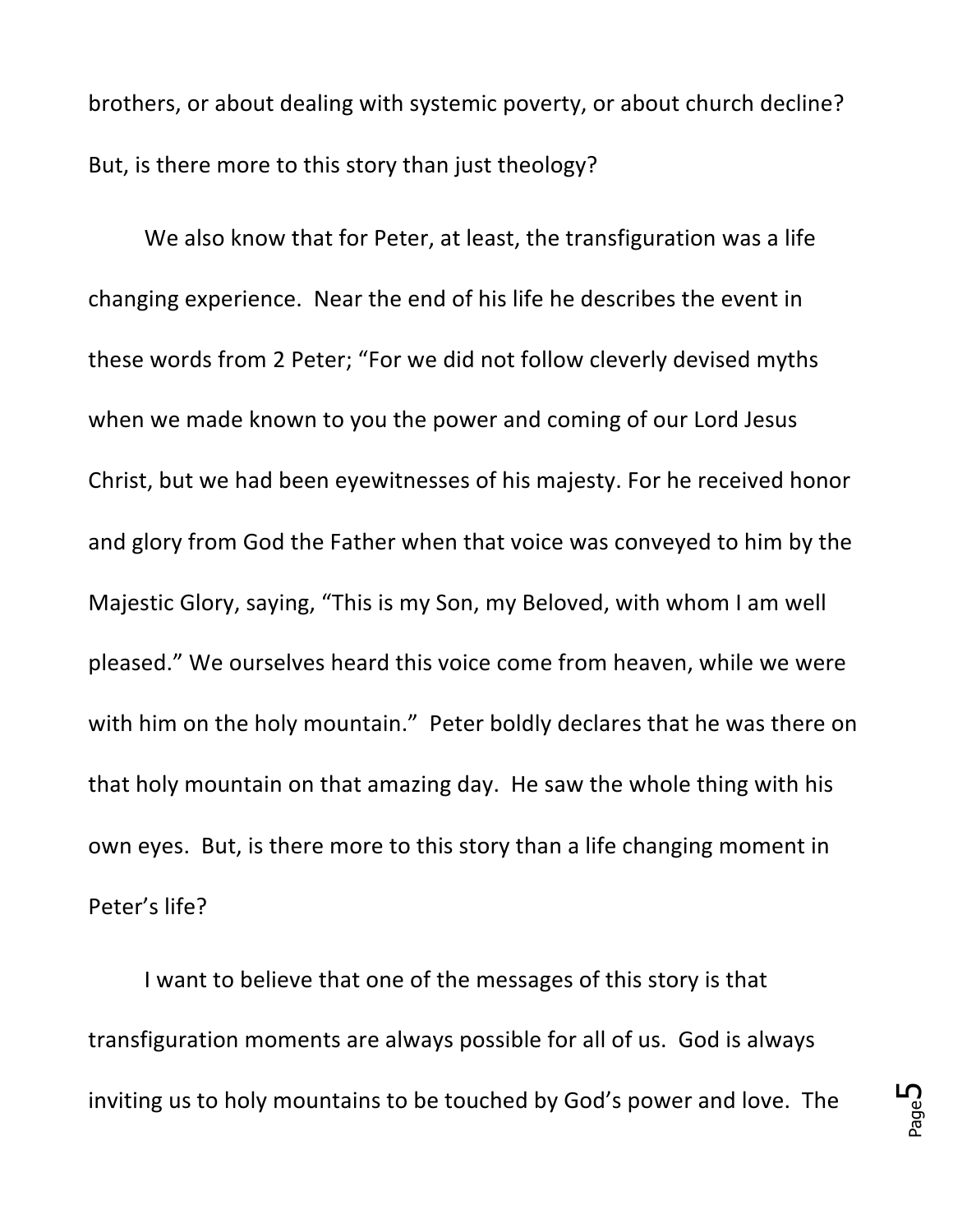brothers, or about dealing with systemic poverty, or about church decline? But, is there more to this story than just theology?

We also know that for Peter, at least, the transfiguration was a life changing experience. Near the end of his life he describes the event in these words from 2 Peter; "For we did not follow cleverly devised myths when we made known to you the power and coming of our Lord Jesus Christ, but we had been eyewitnesses of his majesty. For he received honor and glory from God the Father when that voice was conveyed to him by the Majestic Glory, saying, "This is my Son, my Beloved, with whom I am well pleased." We ourselves heard this voice come from heaven, while we were with him on the holy mountain." Peter boldly declares that he was there on that holy mountain on that amazing day. He saw the whole thing with his own eyes. But, is there more to this story than a life changing moment in Peter's life?

I want to believe that one of the messages of this story is that transfiguration moments are always possible for all of us. God is always inviting us to holy mountains to be touched by God's power and love. The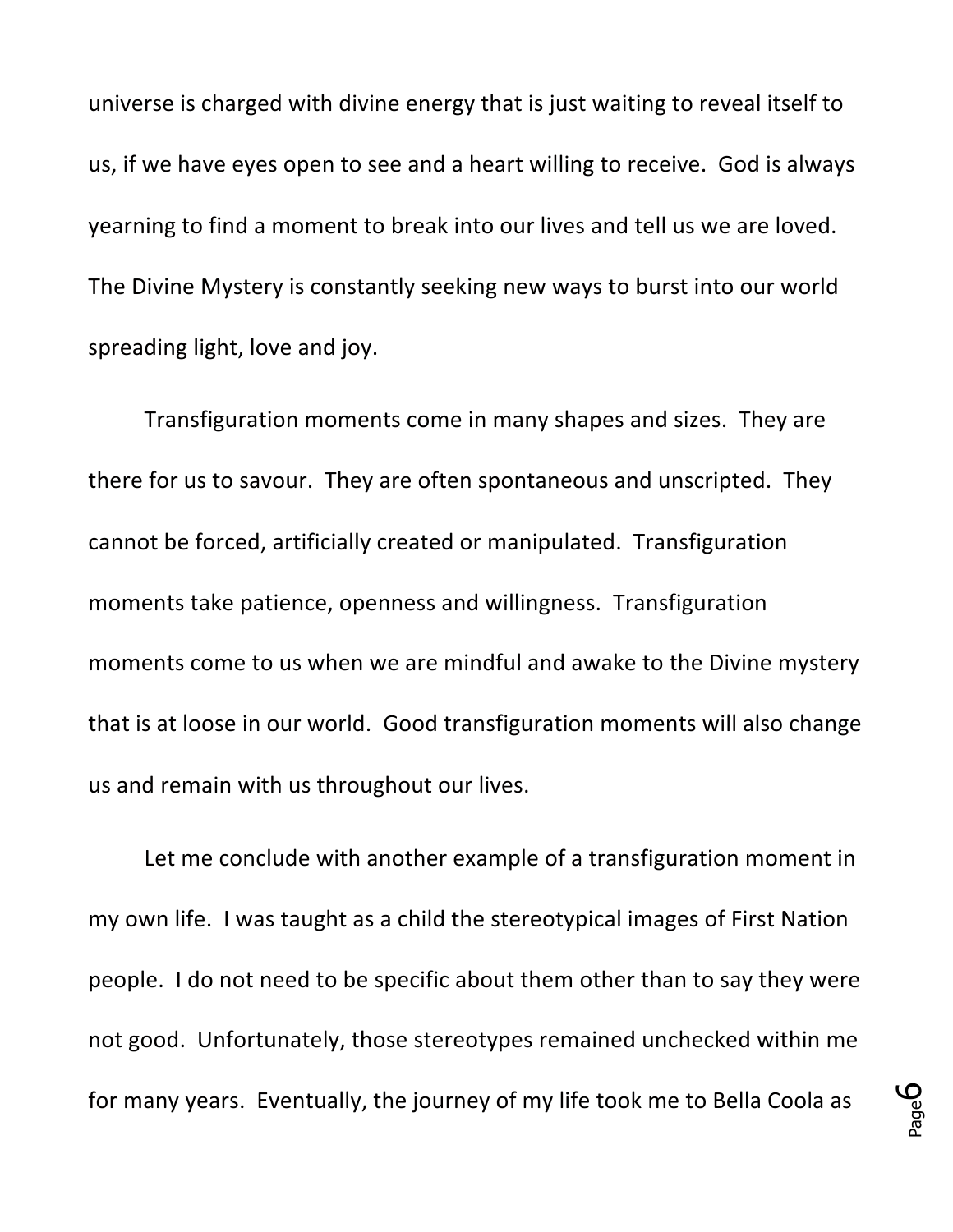universe is charged with divine energy that is just waiting to reveal itself to us, if we have eyes open to see and a heart willing to receive. God is always yearning to find a moment to break into our lives and tell us we are loved. The Divine Mystery is constantly seeking new ways to burst into our world spreading light, love and joy.

Transfiguration moments come in many shapes and sizes. They are there for us to savour. They are often spontaneous and unscripted. They cannot be forced, artificially created or manipulated. Transfiguration moments take patience, openness and willingness. Transfiguration moments come to us when we are mindful and awake to the Divine mystery that is at loose in our world. Good transfiguration moments will also change us and remain with us throughout our lives.

Let me conclude with another example of a transfiguration moment in my own life. I was taught as a child the stereotypical images of First Nation people. I do not need to be specific about them other than to say they were not good. Unfortunately, those stereotypes remained unchecked within me for many years. Eventually, the journey of my life took me to Bella Coola as

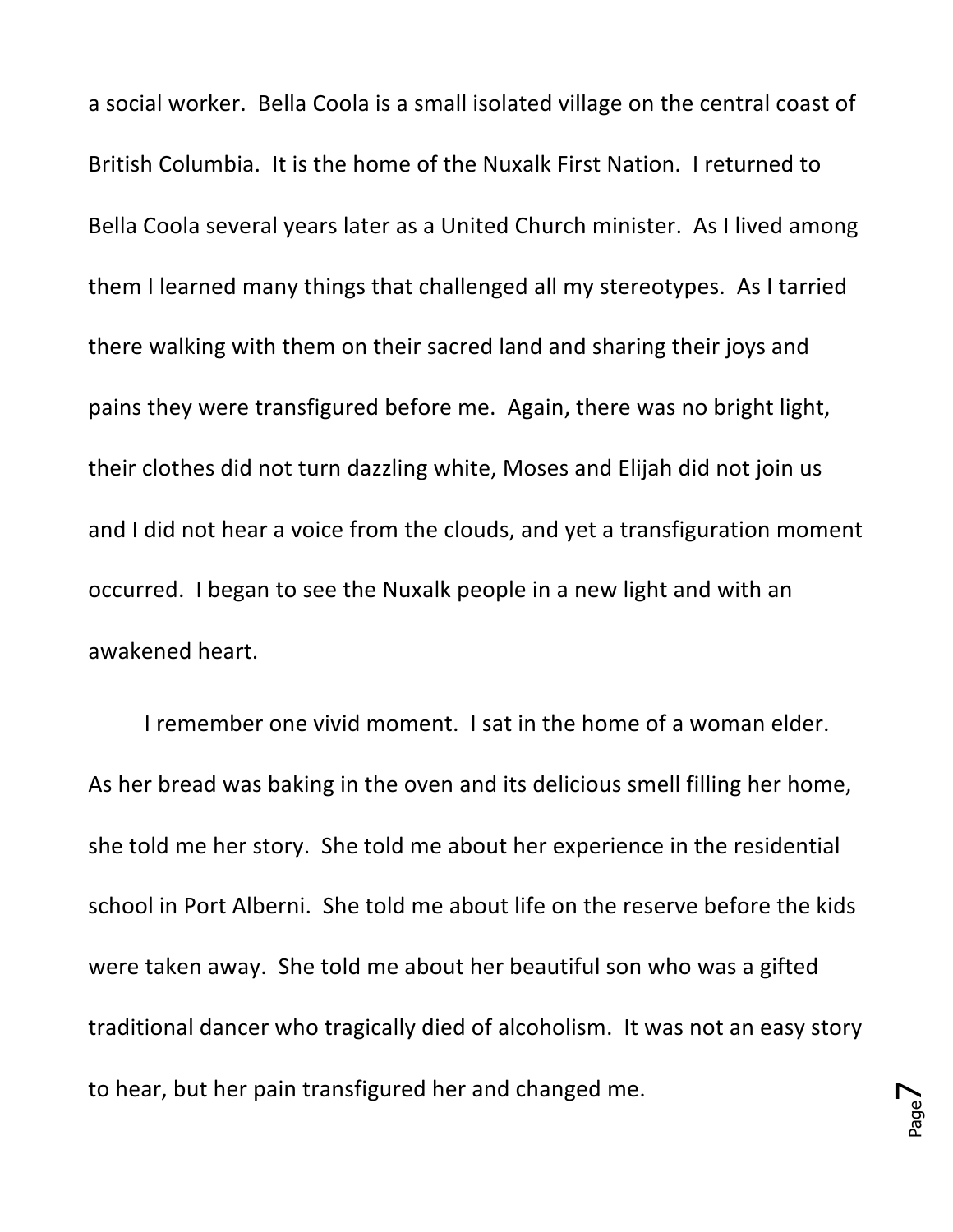a social worker. Bella Coola is a small isolated village on the central coast of British Columbia. It is the home of the Nuxalk First Nation. I returned to Bella Coola several years later as a United Church minister. As I lived among them I learned many things that challenged all my stereotypes. As I tarried there walking with them on their sacred land and sharing their joys and pains they were transfigured before me. Again, there was no bright light, their clothes did not turn dazzling white, Moses and Elijah did not join us and I did not hear a voice from the clouds, and yet a transfiguration moment occurred. I began to see the Nuxalk people in a new light and with an awakened heart. 

I remember one vivid moment. I sat in the home of a woman elder. As her bread was baking in the oven and its delicious smell filling her home, she told me her story. She told me about her experience in the residential school in Port Alberni. She told me about life on the reserve before the kids were taken away. She told me about her beautiful son who was a gifted traditional dancer who tragically died of alcoholism. It was not an easy story to hear, but her pain transfigured her and changed me.

Page  $\blacktriangleright$